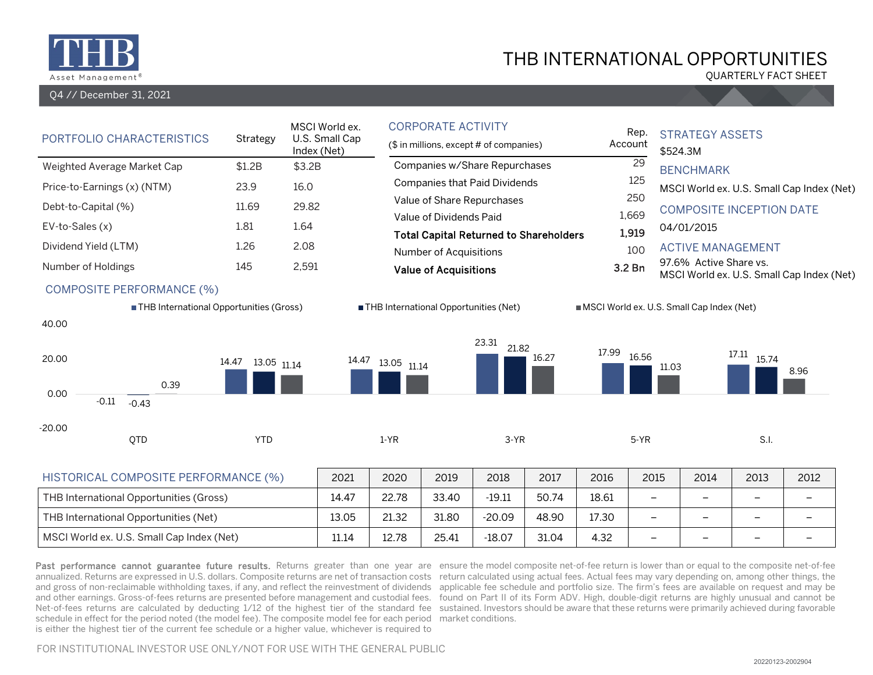

Q4 // December 31, 2021

## THB INTERNATIONAL OPPORTUNITIES

QUARTERLY FACT SHEET

| PORTFOLIO CHARACTERISTICS<br>Strategy                                                                                    |                                    | MSCI World ex.<br>U.S. Small Cap<br>Index (Net) |                        | <b>CORPORATE ACTIVITY</b><br>(\$ in millions, except # of companies)                                                                                                    |                              |                        |                        | Rep.<br>Account                                | <b>STRATEGY ASSETS</b><br>\$524.3M                                                                                                               |                                                              |                                  |  |
|--------------------------------------------------------------------------------------------------------------------------|------------------------------------|-------------------------------------------------|------------------------|-------------------------------------------------------------------------------------------------------------------------------------------------------------------------|------------------------------|------------------------|------------------------|------------------------------------------------|--------------------------------------------------------------------------------------------------------------------------------------------------|--------------------------------------------------------------|----------------------------------|--|
| Weighted Average Market Cap<br>Price-to-Earnings (x) (NTM)                                                               | \$1.2B<br>23.9                     | \$3.2B<br>16.0                                  |                        | Companies w/Share Repurchases<br><b>Companies that Paid Dividends</b>                                                                                                   |                              |                        |                        | 29<br>125                                      | <b>BENCHMARK</b><br>MSCI World ex. U.S. Small Cap Index (Net)                                                                                    |                                                              |                                  |  |
| Debt-to-Capital (%)<br>EV-to-Sales (x)<br>Dividend Yield (LTM)<br>Number of Holdings<br><b>COMPOSITE PERFORMANCE (%)</b> | 11.69<br>1.81<br>1.26<br>145       | 29.82<br>1.64<br>2.08<br>2,591                  |                        | Value of Share Repurchases<br>Value of Dividends Paid<br><b>Total Capital Returned to Shareholders</b><br><b>Number of Acquisitions</b><br><b>Value of Acquisitions</b> |                              |                        |                        | 250<br>1,669<br>1,919<br>100<br>3.2 Bn         | <b>COMPOSITE INCEPTION DATE</b><br>04/01/2015<br><b>ACTIVE MANAGEMENT</b><br>97.6% Active Share vs.<br>MSCI World ex. U.S. Small Cap Index (Net) |                                                              |                                  |  |
| ■ THB International Opportunities (Gross)<br>40.00<br>20.00<br>0.39<br>0.00<br>$-0.11$<br>$-0.43$<br>$-20.00$<br>QTD     | 14.47<br>13.05 11.14<br><b>YTD</b> | 14.47                                           | 13.05 11.14<br>$1-YR$  | ■ THB International Opportunities (Net)                                                                                                                                 | 23.31<br>21.82<br>$3-YR$     | 16.27                  | 17.99                  | 16.56<br>11.03<br>$5-YR$                       | MSCI World ex. U.S. Small Cap Index (Net)                                                                                                        | 17.11<br>15.74<br>S.I.                                       | 8.96                             |  |
| HISTORICAL COMPOSITE PERFORMANCE (%)<br>THB International Opportunities (Gross)<br>THB International Opportunities (Net) |                                    | 2021<br>14.47<br>13.05                          | 2020<br>22.78<br>21.32 | 2019<br>33.40<br>31.80                                                                                                                                                  | 2018<br>$-19.11$<br>$-20.09$ | 2017<br>50.74<br>48.90 | 2016<br>18.61<br>17.30 | 2015<br>$\qquad \qquad -$<br>$\qquad \qquad -$ | 2014<br>$\qquad \qquad$                                                                                                                          | 2013<br>$\overline{\phantom{0}}$<br>$\overline{\phantom{m}}$ | 2012<br>$\overline{\phantom{0}}$ |  |

Past performance cannot guarantee future results. Returns greater than one year are ensure the model composite net-of-fee return is lower than or equal to the composite net-of-fee annualized. Returns are expressed in U.S. dollars. Composite returns are net of transaction costs return calculated using actual fees. Actual fees may vary depending on, among other things, the and gross of non-reclaimable withholding taxes, if any, and reflect the reinvestment of dividends applicable fee schedule and portfolio size. The firm's fees are available on request and may be and other earnings. Gross-of-fees returns are presented before management and custodial fees. ) found on Part II of its Form ADV. High, double-digit returns are highly unusual and cannot be Net-of-fees returns are calculated by deducting 1/12 of the highest tier of the standard fee sustained. Investors should be aware that these returns were primarily achieved during favorable schedule in effect for the period noted (the model fee). The composite model fee for each period market conditions. is either the highest tier of the current fee schedule or a higher value, whichever is required to

MSCI World ex. U.S. Small Cap Index (Net) 11.14 12.78 25.41 -18.07 31.04 4.32 – – – –

FOR INSTITUTIONAL INVESTOR USE ONLY/NOT FOR USE WITH THE GENERAL PUBLIC